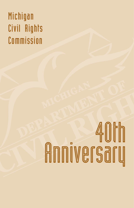# Michigan Civil Rights Commission

# AOth<br>Anniversary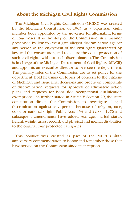# **About the Michigan Civil Rights Commission**

The Michigan Civil Rights Commission (MCRC) was created by the Michigan Constitution of 1963, as a bipartisan, eight member body appointed by the governor for alternating terms of four years. It is the duty of the Commission, in a manner prescribed by law, to investigate alleged discrimination against any person in the enjoyment of the civil rights guaranteed by law and the constitution, and to secure the equal protection of such civil rights without such discrimination. The Commission is in charge of the Michigan Department of Civil Rights (MDCR) and appoints an executive director to oversee the department. The primary roles of the Commission are to set policy for the department, hold hearings on topics of concern to the citizens of Michigan and issue final decisions and orders on complaints of discrimination, requests for approval of affirmative action plans and requests for bona fide occupational qualification exemptions. As further stated in Article V, Section 29, the state constitution directs the Commission to investigate alleged discrimination against any person because of religion, race, color or national origin. Public Acts 453 and 220 of 1976 and subsequent amendments have added sex, age, marital status, height, weight, arrest record, and physical and mental disabilities to the original four protected categories.

This booklet was created as part of the MCRC's 40th anniversary commemoration to honor and remember those that have served on the Commission since its inception.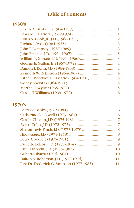# **Table of Contents**

# **1960's**

# **1970's**

| Rev. Dr. Frederick G. Sampson (1977-1983) 11 |  |
|----------------------------------------------|--|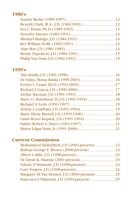# **1980's**

# **1990's**

# **Current Commission**

| Mohammed Abdrabboh, J.D. (2003-present) 22     |  |
|------------------------------------------------|--|
| Bishop George E. Brown (2000-present) 22       |  |
|                                                |  |
|                                                |  |
|                                                |  |
|                                                |  |
| Margaret M. Van Houten, J.D. (2003-present) 25 |  |
|                                                |  |
|                                                |  |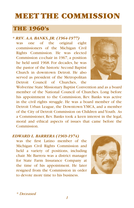# MEET THE COMMISSION

# THE 1960's

# *\* REV. A.A. BANKS, JR. (1964-1977)*

was one of the original eight commissioners of the Michigan Civil Rights Commission. He was elected Commission co-chair in 1967, a position he held until 1968. For decades, he was the pastor of the historic Second Baptist Church in downtown Detroit. He also served as president of the Metropolitan Detroit Council of Churches, the

Wolverine State Missionary Baptist Convention and as a board member of the National Council of Churches. Long before his appointment to the Commission, Rev. Banks was active in the civil rights struggle. He was a board member of the Detroit Urban League, the Downtown YMCA, and a member of the City of Detroit Commission on Children and Youth. As a Commissioner, Rev. Banks took a keen interest in the legal, moral and ethical aspects of issues that came before the **Commission** 

# *EDWARD L. BARRERA (1969-1974)*

was the first Latino member of the Michigan Civil Rights Commission and held a variety of positions, including chair. Mr. Barrera was a district manager for State Farm Insurance Company at the time of his appointment. He later resigned from the Commission in order to devote more time to his business.



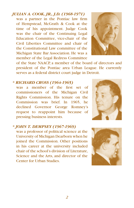# *JULIAN A. COOK, JR., J.D. (1968-1971)*

was a partner in the Pontiac law firm of Hempstead, McGrath & Cook at the time of his appointment. Judge Cook was the chair of the Continuing Legal Education Committee, vice-chair of the Civil Liberties Committee and chair of the Constitutional Law committee of the Michigan State Bar Association. He was a member of the Legal Redress Committee



of the State NAACP, a member of the board of directors and president of the Pontiac area Urban League. He currently serves as a federal district court judge in Detroit.

# *\* RICHARD CROSS (1964-1965)*

was a member of the first set of commissioners of the Michigan Civil Rights Commission. His tenure on the Commission was brief. In 1965, he declined Governor George Romney's request to reappoint him because of pressing business interests.



was a professor of political science at the University of Michigan Dearborn when he joined the Commission. Other positions in his career at the university included chair of the school's division of Literature, Science and the Arts, and director of the Center for Urban Studies.



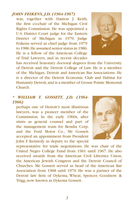# *JOHN FEIKENS, J.D. (1964-1967)*

was, together with Damon J. Keith, the first co-chair of the Michigan Civil Rights Commission. He was appointed a U.S. District Court judge for the Eastern District of Michigan in 1970. Judge Feikens served as chief judge from 1979 to 1986. He assumed senior status in 1986. He is a fellow of the American College of Trial Lawyers, and in recent decades



has received honorary doctoral degrees from the University of Detroit and the Detroit College of Law. He is a member of the Michigan, Detroit and American Bar Associations. He is a director of the Detroit Economic Club and Habitat for Humanity Detroit, and is a member of Grosse Pointe Memorial Church.

# *\* WILLIAM T. GOSSETT, J.D. (1964- 1966)*

perhaps one of Detroit's most illustrious lawyers, was a pioneer member of the Commission. In the early 1960s, after stints as general counsel and part of the management team for Bendix Corp. and the Ford Motor Co., Mr. Gossett accepted an appointment from President John F. Kennedy as deputy to the special



representative for trade negotiations. He was chair of the United Negro College Fund from 1961 until 1967. He also received awards from the American Civil Liberties Union, the American Jewish Congress and the Detroit Council of Churches. Mr. Gossett served as head of the American Bar Association from 1968 until 1970. He was a partner of the Detroit law firm of Dykema, Wheat, Spencer, Goodnow & Trigg, now known as Dykema Gossett.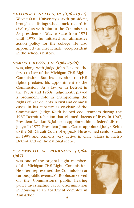# *\* GEORGE E. GULLEN, JR. (1967-1972)* Wayne State University's sixth president, brought a distinguished track record in civil rights with him to the Commission. As president of Wayne State from 1971 until 1978, he initiated an affirmative action policy for the college. He also appointed the first female vice-president in the school's history.



### *DAMON J. KEITH, J.D. (1964-1968)*

was, along with Judge John Feikens, the first co-chair of the Michigan Civil Rights Commission. But his devotion to civil rights predates his appointment to the Commission. As a lawyer in Detroit in the 1950s and 1960s, Judge Keith played a prominent role in championing the rights of Black clients in civil and criminal cases. In his capacity as co-chair of the

Commission, Judge Keith helped cool tempers during the 1967 Detroit rebellion that claimed dozens of lives. In 1967, President Lyndon B. Johnson appointed him a federal district judge. In 1977, President Jimmy Carter appointed Judge Keith to the 6th Circuit Court of Appeals. He assumed senior status in 1995 and remains very active in civic affairs in metro Detroit and on the national scene.

# *\* KENNETH W. ROBINSON (1964- 1967)*

was one of the original eight members of the Michigan Civil Rights Commission. He often represented the Commission at various public events. Mr. Robinson served on the Commission's public hearing panel investigating racial discrimination in housing at an apartment complex in Ann Arbor.



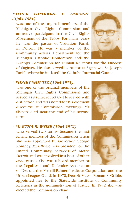# *FATHER THEODORE E. LaMARRE (1964-1981)*

was one of the original members of the Michigan Civil Rights Commission and an active participant in the Civil Rights Movement of the 1960s. For many years he was the pastor of Visitation Parish in Detroit. He was a member of the Community Affairs Department for the Michigan Catholic Conference and the



Bishops Commission for Human Relations for the Diocese of Saginaw. He also served as pastor at Saginaw's St. Joseph Parish where he initiated the Catholic Interracial Council.

### *\* SIDNEY SHEVITZ (1964-1971)*

was one of the original members of the Michigan Civil Rights Commission and served as its first secretary. He served with distinction and was noted for his eloquent discourse at Commission meetings. Mr. Shevitz died near the end of his second term.



### *\* MARTHA R. WYLIE (1965-1972)*

who served two terms, became the first female member of the Commission when she was appointed by Governor George Romney. Mrs. Wylie was president of the United Community Services of Metro Detroit and was involved in a host of other civic causes. She was a board member of the Legal Aid and Defender Association



of Detroit, the Merrill-Palmer Institute Corporation and the Urban League Guild. In 1970, Detroit Mayor Roman S. Gribbs appointed her to the Statewide Institute of Community Relations in the Administration of Justice. In 1972 she was elected the Commission chair.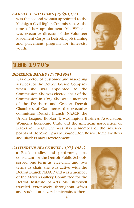### *CAROLE T. WILLIAMS (1969-1972)* was the second woman appointed to the

Michigan Civil Rights Commission. At the time of her appointment, Ms. Williams was executive director of the Volunteer Placement Corps in Detroit, a job training and placement program for inner-city youth.



# THE 1970's

### *BEATRICE BANKS (1979-1984)*

was director of customer and marketing services for the Detroit Edison Company when she was appointed to the Commission. She was elected chair of the Commission in 1983. She was a member of the Dearborn and Greater Detroit Chambers of Commerce, the executive committee Detroit Branch NAACP, the



Urban League, Booker T. Washington Business Association, Women's Economic Club, and the American Association of Blacks in Energy. She was also a member of the advisory boards of Horizon Upward Bound, Don Bosco Home for Boys and Black Family Development.

### *CATHERINE BLACKWELL (1973-1984)*

a Black studies and performing arts consultant for the Detroit Public Schools, served one term as vice-chair and two terms as chair. She was active with the Detroit Branch NAACP and was a member of the African Gallery Committee for the Detroit Institute of Arts. Ms. Blackwell traveled extensively throughout Africa and studied at several universities there.

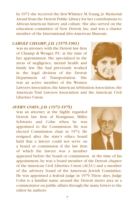In 1973 she received the first Whitney M. Young, Jr. Memorial Award from the Detroit Public Library for her contributions to African-American history and culture. She also served on the education committee of New Detroit, Inc. and was a charter member of the International Afro-American Museum.

# *CAROLE CHIAMP, J.D. (1975-1981)*

was an attorney with the Detroit law firm of Chiamp & Wenger, P.C. at the time of her appointment. She specialized in the areas of negligence, mental health and family law. She had previously worked in the legal division of the Detroit Department of Transportation. She was an active member of the Women

Lawyers Association, the American Arbitration Association, the American Trial Lawyers Association and the American Civil Liberties Union.

### *AVERN COHN, J.D. (1972-1975)*

was an attorney at the highly regarded Detroit law firm of Honigman, Miller, Schwartz and Cohn when he was appointed to the Commission. He was elected Commission chair in 1974. He resigned after the state's ethics board held that a lawyer could not serve on a board or commission if the law firm of which the lawyer was a member

appeared before the board or commission. At the time of his appointment, he was a board member of the Detroit chapter of the American Civil Liberties Union (ACLU) and a member of the advisory board of the American Jewish Committee. He was appointed a federal judge in 1979. These days, Judge Cohn is a familiar name around the Detroit metro area as a commentator on public affairs through the many letters to the editor he authors.



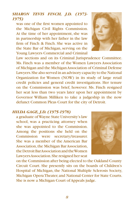Law sections and on its Criminal Jurisprudence Committee. Ms. Finch was a member of the Women Lawyers Association of Michigan and the Michigan Association of Criminal Defense Lawyers. She also served in an advisory capacity to the National Organization for Women (NOW) in its study of large retail credit policies and general credit investigations. Her tenure on the Commission was brief, however. Ms. Finch resigned her seat less than two years later upon her appointment by Governor William Milliken to take a judgeship in the now defunct Common Pleas Court for the city of Detroit.

### *HILDA GAGE, J.D. (1975-1978)*

a graduate of Wayne State University's law school, was a practicing attorney when she was appointed to the Commission. Among the positions she held on the Commission were secretary/treasurer. She was a member of the American Bar Association, the Michigan Bar Association, the Detroit Bar Association and the Women Lawyers Association. She resigned her seat

on the Commission after being elected to the Oakland County Circuit Court. She presently sits on the boards of Children's Hospital of Michigan, the National Multiple Sclerosis Society, Michigan Opera Theater, and National Center for State Courts. She is now a Michigan Court of Appeals judge.

# *SHARON TEVIS FINCH, J.D. (1973- 1975)*

was one of the first women appointed to the Michigan Civil Rights Commission. At the time of her appointment, she was in partnership with her father in the law firm of Finch & Finch. She was active in the State Bar of Michigan, serving on the Young Lawyers Commercial and Criminal



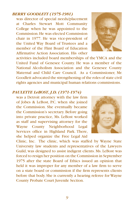# *BERRY GOODLETT (1975-1981)*

was director of special needs/placement at Charles Stewart Mott Community College when he was appointed to the Commission. He was elected Commission chair in 1977. He was vice-president of the United Way Board of Trustees and a member of the Flint Board of Education Affirmative Action Association. His other



activities included board memberships of the YMCA and the United Fund of Genesee County. He was a member of the National Alcoholism Association and the Genesee County Maternal and Child Care Council. As a Commissioner, Mr. Goodlett advocated the strengthening of the roles of state civil rights agencies and municipal human relations commissions.

# *PAULETTE LeBOST, J.D. (1971-1974)*

was a Detroit attorney with the law firm of Jobes & LeBost, P.C. when she joined the Commission. She eventually became the Commission's secretary. Before going into private practice, Ms. LeBost worked as staff and supervising attorney for the Wayne County Neighborhood Legal Services office in Highland Park. There, she helped organize the Free Legal Aid



Clinic, Inc. The clinic, which was staffed by Wayne State University law students and representatives of the Lawyers Guild, was designed to assist indigent clients. Ms. LeBost was forced to resign her position on the Commission in September 1975 after the state Board of Ethics issued an opinion that held it was improper for any member of a law firm to serve on a state board or commission if the firm represents clients before that body. She is currently a hearing referee for Wayne County Probate Court Juvenile Section.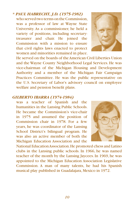*10 11*

# *\* PAUL HABRECHT, J.D. (1975-1982)*

who served two terms on the Commission, was a professor of law at Wayne State University. As a commissioner, he held a variety of positions, including secretarytreasurer and chair. He joined the Commission with a mission to ensure that civil rights laws enacted to protect women and minorities remained in place.

He served on the boards of the American Civil Liberties Union and the Wayne County Neighborhood Legal Services. He was vice-chairman of the Michigan Housing and Development Authority and a member of the Michigan Fair Campaign Practices Committee. He was the public representative on the U.S. Secretary of Labor's advisory council on employee welfare and pension benefit plans.

# *GILBERTO IBARRA (1974-1984)*

was a teacher of Spanish and the humanities in the Lansing Public Schools. He became the Commission's vice-chair in 1975 and assumed the position of Commission chair in 1978. For a few years, he was coordinator of the Lansing School District's bilingual program. He was also an active member of both the Michigan Education Association and the

National Education Association. He promoted chess and Latino clubs in the Lansing public schools. In 1966, he was named teacher of the month by the Lansing Jaycees. In 1969, he was appointed to the Michigan Education Association Legislative Commission. A man of many talents, he had his Spanish musical play published in Guadalajara, Mexico in 1972.



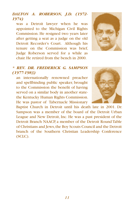# *DALTON A. ROBERSON, J.D. (1972- 1974)*

was a Detroit lawyer when he was appointed to the Michigan Civil Rights Commission. He resigned two years later after getting a seat as a judge on the old Detroit Recorder's Court. Although his tenure on the Commission was brief, Judge Roberson served for a while as chair. He retired from the bench in 2000.



# *\* REV. DR. FREDERICK G. SAMPSON (1977-1983)*

an internationally renowned preacher and spellbinding public speaker, brought to the Commission the benefit of having served on a similar body in another statethe Kentucky Human Rights Commission. He was pastor of Tabernacle Missionary



Baptist Church in Detroit until his death late in 2001. Dr. Sampson was a member of the board of the Detroit Urban League and New Detroit, Inc. He was a past president of the Detroit Branch NAACP, a member of the Detroit Round Table of Christians and Jews, the Boy Scouts Council and the Detroit branch of the Southern Christian Leadership Conference (SCLC).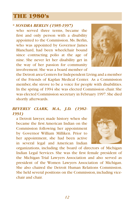# THE 1980's

# *\* SONDRA BERLIN (1985-1997)*

who served three terms, became the first and only person with a disability appointed to the Commission. Ms. Berlin, who was appointed by Governor James Blanchard, had been wheelchair bound since contracting polio at the age of nine. She never let her disability get in the way of her passion for community involvement. She was a board member of



the Detroit area Centers for Independent Living and a member of the Friends of Kaplan Medical Center. As a Commission member, she strove to be a voice for people with disabilities. In the spring of 1994 she was elected Commission chair. She was elected Commission secretary in February 1997. She died shortly afterwards.

# *BEVERLY CLARK, M.A., J.D. (1982- 1991)*

a Detroit lawyer, made history when she became the first American Indian on the Commission following her appointment by Governor William Milliken. Prior to her appointment, she had been active in several legal and American Indian



organizations, including the board of directors of Michigan Indian Legal Services. She was the first female president of the Michigan Trial Lawyers Association and also served as president of the Women Lawyers Association of Michigan. She also chaired the Detroit Human Relations Commission. She held several positions on the Commission, including vicechair and chair.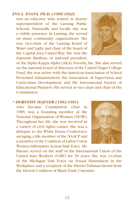# *EVA L. EVANS, Ph.D. (1985-1992)*

was an educator who retired as deputy superintendent of the Lansing Public Schools. Nationally and locally she was a visible presence. In Lansing, she served on many community organizations. She was vice-chair of the Lansing Board of Water and Light, and chair of the board of the Capital Area United Way. She was the Supreme Basileus, or national president,



of the Alpha Kappa Alpha (AKA) Sorority, Inc. She also served on the national board of directors of the United Negro College Fund. She was active with the American Association of School Personnel Administrators, the Association of Supervison and Curriculum Development, and the International Society of Educational Planners. She served as vice-chair and chair of the **Commission** 

### *\* DOROTHY HAENER (1983-1991)*

who became Commission chair in 1985, was a founding member of the National Organization of Women (NOW). Throughout her life, she was involved in a variety of civil rights causes. She was a delegate to the White House Conference on Aging, a life member of the NAACP and a member of the Coalition of Labor Union Women-Affirmative Action Task Force. Ms.



Haener served on the staff of the International Union of the United Auto Workers (UAW) for 30 years. She was co-chair of the Michigan Task Force on Sexual Harassment in the Workplace and a recipient of the Harriet Tubman Award from the Detroit Coalition of Black Trade Unionists.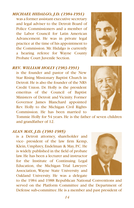*MICHAEL HIDALGO, J.D. (1984-1991)*

was a former assistant executive secretary and legal adviser to the Detroit Board of Police Commissioners and a member of the Labor Council for Latin American Advancement. He was in private legal practice at the time of his appointment to the Commission. Mr. Hidalgo is currently a hearing referee for Wayne County Probate Court Juvenile Section.

### *REV. WILLIAM HOLLY (1983-1991)*

is the founder and pastor of the New Star Rising Missionary Baptist Church in Detroit. He is also the founder of the NRS Credit Union. Dr. Holly is the president emeritus of the Council of Baptist Ministers of Detroit and Vicinity. Former Governor James Blanchard appointed Rev. Holly to the Michigan Civil Rights Commission. He has been married to

Tommie Holly for 54 years. He is the father of seven children and grandfather of 12.

### *ALAN MAY, J.D. (1981-1985)*

is a Detroit attorney, shareholder and vice- president of the law firm Kemp, Klein, Umphrey, Endelman & May, P.C. He is widely published in the field of probate law. He has been a lecturer and instructor for the Institute of Continuing Legal Education, the Michigan Trial Lawyers' Association, Wayne State University and Oakland University. He was a delegate

to the 1984 and 1988 Republican National Conventions and served on the Platform Committee and the Department of Defense sub-committee. He is a member and past president of





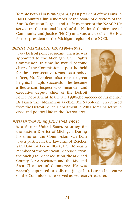Temple Beth El in Birmingham, a past president of the Franklin Hills Country Club, a member of the board of directors of the Anti-Defamation League and a life member of the NAACP. He served on the national board of the National Conference of Community and Justice (NCCJ) and was a vice-chair. He is a former president of the Michigan region of the NCCJ.

# *BENNY NAPOLEON, J.D. (1984-1991)*

was a Detroit police sergeant when he was appointed to the Michigan Civil Rights Commission. In time he would become chair of the Commission, a post he held for three consecutive terms. As a police officer, Mr. Napoleon also rose to great heights. In rapid succession, he became a lieutenant, inspector, commander and executive deputy chief of the Detroit



Police Department. In the late 1990s, he succeeded his mentor Dr. Isaiah "Ike" McKinnon as chief. Mr. Napoleon, who retired from the Detroit Police Department in 2001, remains active in civic and political life in the Detroit area.

# *PHILIP VAN DAM, J.D. (1982-1991)*

is a former United States Attorney for the Eastern District of Michigan. During his time on the Commission, Van Dam was a partner in the law firm of Reicker, Van Dam, Barker & Black, P.C. He was a member of the American Bar Association, the Michigan Bar Association, the Midland County Bar Association and the Midland Area Chamber of Commerce. He was



recently appointed to a district judgeship. Late in his tenure on the Commission, he served as secretary/treasurer.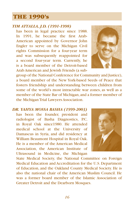# THE 1990's

# *TIM ATTALLA, J.D. (1991-1998)*

has been in legal practice since 1988. In 1991, he became the first Arab-American appointed by Governor John Engler to serve on the Michigan Civil rights Commission for a four-year term and was subsequently reappointed for a second four-year term. Currently, he is a board member of the Detroit-based Arab American and Jewish Friends (a sub-



group of the National Conference for Community and Justice), a board member of the New York-based Seeds of Peace that fosters friendship and understanding between children from some of the world's most intractable war zones, as well as a member of the State Bar of Michigan, and a former member of the Michigan Trial Lawyers Association.

*DR. YAHYA MOSSA BASHA (1999-2003)* has been the founder, president and radiologist of Basha Diagnostics, P.C. in Royal Oak since1980. He attended medical school at the University of Damascus in Syria, and did residency at William Beaumont Hospital in Royal Oak. He is a member of the American Medical Association, the American Institute of Ultrasound in Medicine, the Michigan



State Medical Society, the National Committee on Foreign Medical Education and Accreditation for the U.S. Department of Education, and the Oakland County Medical Society. He is also the national chair of the American Muslim Council. He was a former board member of the Islamic Association of Greater Detroit and the Dearborn Mosques.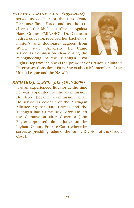# *EVELYN L. CRANE, Ed.D. (1994-2002)*

served as co-chair of the Bias Crime Response Task Force and as the cochair of the Michigan Alliance Against Hate Crimes (MIAAHC). Dr. Crane, a retired educator, received her bachelor's, master's and doctorate degrees from Wayne State University. Dr. Crane served as Commission chair during the re-engineering of the Michigan Civil



Rights Department. She is the president of Crane's Unlimited Enterprises Consulting Firm. She is also a life member of the Urban League and the NAACP.

# *RICHARD J. GARCIA, J.D. (1996-2000)*

was an experienced litigator at the time he was appointed to the Commission. He later became Commission chair. He served as co-chair of the Michigan Alliance Against Hate Crimes and the Michigan Bias Crime Task Force. He left the Commission after Governor John Engler appointed him a judge on the Ingham County Probate Court where he



serves as presiding judge of the Family Division of the Circuit Court.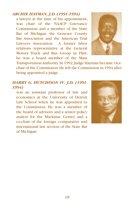# *ARCHIE HAYMAN, J.D. (1991-1994)*

a lawyer at the time of his appointment, was chair of the NAACP Grievance Commission and a member of the State Bar of Michigan, the Genesee County Bar Association and the American Trial Lawyers Association. A former labor relations representative at the General Motors Truck and Bus Group in Flint, he was a board member of the Mass



Transportation Authority. In 1992, Judge Hayman became vicechair of the Commission. He left the Commission in 1994 after being appointed a judge.

# *HARRY G. HUTCHISON IV, J.D. (1991- 1994)*

was an assistant professor of law and economics at the University of Detroit Law School when he was appointed to the Commission. He was a member of the board of advisors and a senior policy analyst for the Mackinac Center, and a co-chair of the foreign, comparative and international law section of the State Bar of Michigan

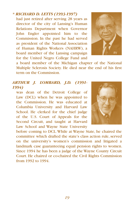# *\* RICHARD D. LETTS (1993-1997)*

had just retired after serving 28 years as director of the city of Lansing's Human Relations Department when Governor John Engler appointed him to the Commission. In the past he had served as president of the National Association of Human Rights Workers (NAHRW), a board member of the Lansing campaign for the United Negro College Fund and



a board member of the Michigan chapter of the National Multiple Sclerosis Society. He died near the end of his first term on the Commission.

# *ARTHUR J. LOMBARD, J.D. (1991- 1994)*

was dean of the Detroit College of Law (DCL) when he was appointed to the Commission. He was educated at Columbia University and Harvard Law School. He clerked for the chief judge of the U.S. Court of Appeals for the Second Circuit, and taught at Harvard Law School and Wayne State University



before coming to DCL. While at Wayne State, he chaired the committee which drafted the state's class action rule, served on the university's women's commission and litigated a landmark case guaranteeing equal pension rights to women. Since 1994 he has been a judge of the Wayne County Circuit Court. He chaired or co-chaired the Civil Rights Commission from 1992 to 1994.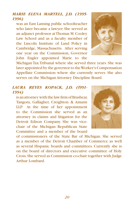# *MARIE ELENA MARTELL, J.D. (1995- 1996)*

was an East Lansing public schoolteacher who later became a lawyer. She served as an adjunct professor at Thomas M. Cooley Law School and as a faculty member of the Lincoln Institute of Land Policy in Cambridge, Massachusetts. After serving one year on the Commission, Governor John Engler appointed Marie to the



Michigan Tax Tribunal where she served three years. She was later appointed by the governor to the Worker's Compensation Appellate Commission where she currently serves. She also serves on the Michigan Attorney Discipline Board.

# *LAURA REYES KOPACK, J.D. (l991- 1994)*

is an attorney with the law firm of Brashear, Tangora, Gallagher, Creighton & Amann LLP. At the time of her appointment to the Commission she served as an attorney in claims and litigation for the Detroit Edison Company. She was vicechair of the Michigan Republican State Committee and a member of the board



of commissioners of the State Bar of Michigan. She served as a member of the Detroit Chamber of Commerce as well as several Hispanic boards and committees. Currently she is on the board of directors and executive committee of Holy Cross. She served as Commission co-chair together with Judge Arthur Lombard.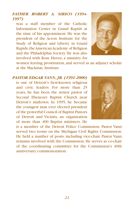# *FATHER ROBERT A. SIRICO (1994- 1997)*

was a staff member of the Catholic Information Center in Grand Rapids at the time of his appointment. He was the president of the Acton Institute for the Study of Religion and Liberty in Grand Rapids, the American Academy of Religion and the Philadelphia Society. He was also involved with Rose Haven, a ministry for



women leaving prostitution, and served as an adjunct scholar at the Mackinac Institute.

*PASTOR EDGAR VANN, JR. (1991-2000)* is one of Detroit's best-known religious and civic leaders. For more than 25 years, he has been the senior pastor of Second Ebenezer Baptist Church near Detroit's midtown. In 1995, he became the youngest man ever elected president of the powerful Council of Baptist Pastors of Detroit and Vicinity, an organization of more than 400 Baptist ministers. He



is a member of the Detroit Police Commission. Pastor Vann served two terms on the Michigan Civil Rights Commission. He held a number of posts, including vice-chair. Pastor Vann remains involved with the Commission. He serves as co-chair of the coordinating committee for the Commission's 40th anniversary commemoration.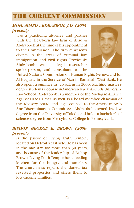# THE CURRENT COMMISSION

# *MOHAMMED ABDRABBOH, J.D. (2003 present)*

was a practicing attorney and partner with the Dearborn law firm of Ayad & Abdrabboh at the time of his appointment to the Commission. The firm represents clients in the areas of criminal law, immigration, and civil rights. Previously, Abdrabboh was a legal researcher, spokesperson, and consultant to the



United Nations Commission on Human Rights-Geneva and for Al-Haq-Law in the Service of Man in Ramallah, West Bank. He also spent a summer in Jerusalem in 2000, teaching master's degree students a course in American law at Al-Quds University Law School. Abdrabboh is a member of the Michigan Alliance Against Hate Crimes, as well as a board member, chairman of the advisory board, and legal counsel to the American Arab Anti-Discrimination Committee. Abdrabboh earned his law degree from the University of Toledo and holds a bachelor's of science degree from Mercyhurst College in Pennsylvania.

# *BISHOP GEORGE E. BROWN (2000 present)*

is the pastor of Living Truth Temple, located on Detroit's east side. He has been in the ministry for more than 30 years, and because of the leadership of Bishop Brown, Living Truth Temple has a feeding kitchen for the hungry and homeless. The church also repairs abandoned, tax reverted properties and offers them to low-income families.

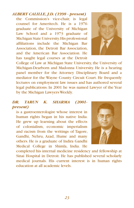# *ALBERT CALILLE, J.D. (1998 - present)*

the Commission's vice-chair, is legal counsel for Ameritech. He is a 1976 graduate of the University of Michigan Law School and a 1973 graduate of Michigan State University. His professional affiliations include the Michigan Bar Association, the Detroit Bar Association, and the American Bar Association. He has taught legal courses at the Detroit



College of Law at Michigan State University, the University of Michigan-Dearborn and Madonna University. He is a hearing panel member for the Attorney Disciplinary Board and a mediator for the Wayne County Circuit Court. He frequently lectures on employment law issues and has authored several legal publications. In 2001 he was named Lawyer of the Year by the Michigan Lawyers Weekly.

# *DR. TARUN K. SHARMA (2001 present)*

is a gastroenterologist whose interest in human rights began in his native India. He grew up learning about the effects of colonialism, economic imperialism and racism from the writings of Tagore, Gandhi, Nehru, Azad, Hume and many others. He is a graduate of Indira Gandhi Medical College in Shimla, India. He



completed his internal medicine residency and fellowship at Sinai Hospital in Detroit. He has published several scholarly medical journals. His current interest is in human rights education at all academic levels.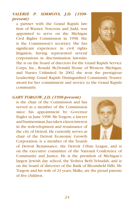# *VALERIE P. SIMMONS, J.D. (1998 present)*

a partner with the Grand Rapids law firm of Warner, Norcross and Judd, was appointed to serve on the Michigan Civil Rights Commission in 1998. She is the Commission's secretary. She has significant experience in civil rights litigation, having represented several corporations in discrimination lawsuits.



She is on the board of directors for the Grand Rapids Service Corps, Inc., Ronald McDonald House of Western Michigan, and Nurses Unlimited. In 2002 she won the prestigious Leadership Grand Rapids Distinguished Community Trustee award for her commitment and service to the Grand Rapids community.

### *GARY TORGOW, J.D. (1998-present)*

is the chair of the Commission and has served as a member of the Commission since his appointment by Governor Engler in June 1998. Mr. Torgow, a lawyer and businessman, has taken a keen interest in the redevelopment and renaissance of the city of Detroit. He currently serves as chair of the Detroit Economic Growth Corporation, is a member of the boards



of Detroit Renaissance, the Detroit Urban League, and is on the executive committee of the National Conference of Community and Justice. He is the president of Michigan's largest Jewish day school, the Yeshiva Beth Yehudah, and is on the board of directors of the Bank of Bloomfield Hills. Mr. Torgow and his wife of 23 years, Malke, are the proud parents of five children.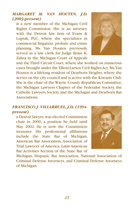# *MARGARET M. VAN HOUTEN, J.D. (2003-present)*

is a new member of the Michigan Civil Rights Commission. She is an attorney with the Detroit law firm of Evans & Luptak, PLC, where she specializes in commercial litigation, probate and estate planning. Ms. Van Houten previously served as a law clerk for Judge Brian K. Zahra in the Michigan Court of Appeals



and the Third Circuit Court, where she worked on numerous cases brought under the Elliott-Larsen Civil Rights Act. Ms. Van Houten is a lifelong resident of Dearborn Heights, where she serves on the city council and is active with the Kiwanis Club. She is the chair of the Wayne County Republican Committee, the Michigan Lawyers Chapter of the Federalist Society, the Catholic Lawyers Society and the Michigan and Dearborn Bar **Associations** 

# *FRANCISCO J. VILLARRUEL, J.D. (1994 present)*

a Detroit lawyer, was elected Commission chair in 2000, a position he held until May 2002. He is now the Commission treasurer. His professional affiliations include the State Bar of Michigan, American Bar Association, Association of Trial Lawyers of America, Latin American Bar Activities Section of the State Bar of



Michigan, Hispanic Bar Association, National Association of Criminal Defense Attorneys, and Criminal Defense Attorneys of Michigan.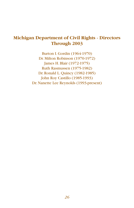# **Michigan Department of Civil Rights - Directors Through 2003**

Burton I. Gordin (1964-1970) Dr. Milton Robinson (1970-1972) James H. Blair (1972-1975) Ruth Rasmussen (1975-1982) Dr. Ronald L. Quincy (1982-1985) John Roy Castillo (1985-1993) Dr. Nanette Lee Reynolds (1993-present)